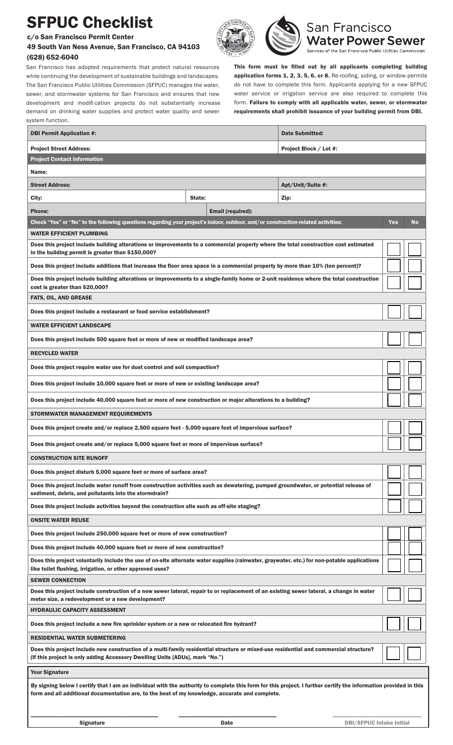## SFPUC Checklist

c/o San Francisco Permit Center

system function.

## 49 South Van Ness Avenue, San Francisco, CA 94103 (628) 652-6040



San Francisco **Water Power Sewer** Services of the San Francisco Public Utilities Commission

San Francisco has adopted requirements that protect natural resources while continuing the development of sustainable buildings and landscapes. The San Francisco Public Utilities Commission (SFPUC) manages the water, sewer, and stormwater systems for San Francisco and ensures that new development and modifi cation projects do not substantially increase demand on drinking water supplies and protect water quality and sewer This form must be filled out by all applicants completing building application forms 1, 2, 3, 5, 6, or 8. Re-roofing, siding, or window permits do not have to complete this form. Applicants applying for a new SFPUC water service or irrigation service are also required to complete this form. Failure to comply with all applicable water, sewer, or stormwater requirements shall prohibit issuance of your building permit from DBI.

| <b>DBI Permit Application #:</b>                                                                                                                                                                                                                                   |                                                             |                   | <b>Date Submitted:</b> |     |    |  |
|--------------------------------------------------------------------------------------------------------------------------------------------------------------------------------------------------------------------------------------------------------------------|-------------------------------------------------------------|-------------------|------------------------|-----|----|--|
| <b>Project Street Address:</b>                                                                                                                                                                                                                                     |                                                             |                   | Project Block / Lot #: |     |    |  |
| <b>Project Contact Information</b>                                                                                                                                                                                                                                 |                                                             |                   |                        |     |    |  |
| Name:                                                                                                                                                                                                                                                              |                                                             |                   |                        |     |    |  |
| <b>Street Address:</b>                                                                                                                                                                                                                                             |                                                             |                   | Apt/Unit/Suite #:      |     |    |  |
| City:                                                                                                                                                                                                                                                              | State:                                                      |                   | Zip:                   |     |    |  |
| <b>Phone:</b>                                                                                                                                                                                                                                                      |                                                             | Email (required): |                        |     |    |  |
| Check "Yes" or "No" to the following questions regarding your project's indoor, outdoor, and/or construction-related activities:                                                                                                                                   |                                                             |                   |                        | Yes | No |  |
| WATER EFFICIENT PLUMBING                                                                                                                                                                                                                                           |                                                             |                   |                        |     |    |  |
| Does this project include building alterations or improvements to a commercial property where the total construction cost estimated<br>in the building permit is greater than \$150,000?                                                                           |                                                             |                   |                        |     |    |  |
| Does this project include additions that increase the floor area space in a commercial property by more than 10% (ten percent)?                                                                                                                                    |                                                             |                   |                        |     |    |  |
| Does this project include building alterations or improvements to a single-family home or 2-unit residence where the total construction<br>cost is greater than \$20,000?                                                                                          |                                                             |                   |                        |     |    |  |
| <b>FATS, OIL, AND GREASE</b>                                                                                                                                                                                                                                       |                                                             |                   |                        |     |    |  |
| Does this project include a restaurant or food service establishment?                                                                                                                                                                                              |                                                             |                   |                        |     |    |  |
| <b>WATER EFFICIENT LANDSCAPE</b>                                                                                                                                                                                                                                   |                                                             |                   |                        |     |    |  |
| Does this project include 500 square feet or more of new or modified landscape area?                                                                                                                                                                               |                                                             |                   |                        |     |    |  |
| <b>RECYCLED WATER</b>                                                                                                                                                                                                                                              |                                                             |                   |                        |     |    |  |
| Does this project require water use for dust control and soil compaction?                                                                                                                                                                                          |                                                             |                   |                        |     |    |  |
| Does this project include 10,000 square feet or more of new or existing landscape area?                                                                                                                                                                            |                                                             |                   |                        |     |    |  |
| Does this project include 40,000 square feet or more of new construction or major alterations to a building?                                                                                                                                                       |                                                             |                   |                        |     |    |  |
| STORMWATER MANAGEMENT REQUIREMENTS                                                                                                                                                                                                                                 |                                                             |                   |                        |     |    |  |
| Does this project create and/or replace 2,500 square feet - 5,000 square feet of impervious surface?                                                                                                                                                               |                                                             |                   |                        |     |    |  |
| Does this project create and/or replace 5,000 square feet or more of impervious surface?                                                                                                                                                                           |                                                             |                   |                        |     |    |  |
| <b>CONSTRUCTION SITE RUNOFF</b>                                                                                                                                                                                                                                    |                                                             |                   |                        |     |    |  |
| Does this project disturb 5,000 square feet or more of surface area?                                                                                                                                                                                               |                                                             |                   |                        |     |    |  |
| Does this project include water runoff from construction activities such as dewatering, pumped groundwater, or potential release of<br>sediment, debris, and pollutants into the stormdrain?                                                                       |                                                             |                   |                        |     |    |  |
| Does this project include activities beyond the construction site such as off-site staging?                                                                                                                                                                        |                                                             |                   |                        |     |    |  |
| <b>ONSITE WATER REUSE</b>                                                                                                                                                                                                                                          |                                                             |                   |                        |     |    |  |
| Does this project include 250,000 square feet or more of new construction?                                                                                                                                                                                         |                                                             |                   |                        |     |    |  |
| Does this project include 40,000 square feet or more of new construction?                                                                                                                                                                                          |                                                             |                   |                        |     |    |  |
| Does this project voluntarily include the use of on-site alternate water supplies (rainwater, graywater, etc.) for non-potable applications<br>like toilet flushing, irrigation, or other approved uses?                                                           |                                                             |                   |                        |     |    |  |
| <b>SEWER CONNECTION</b>                                                                                                                                                                                                                                            |                                                             |                   |                        |     |    |  |
| Does this project include construction of a new sewer lateral, repair to or replacement of an existing sewer lateral, a change in water<br>meter size, a redevelopment or a new development?                                                                       |                                                             |                   |                        |     |    |  |
| <b>HYDRAULIC CAPACITY ASSESSMENT</b>                                                                                                                                                                                                                               |                                                             |                   |                        |     |    |  |
| Does this project include a new fire sprinkler system or a new or relocated fire hydrant?                                                                                                                                                                          |                                                             |                   |                        |     |    |  |
| RESIDENTIAL WATER SUBMETERING                                                                                                                                                                                                                                      |                                                             |                   |                        |     |    |  |
| Does this project include new construction of a multi-family residential structure or mixed-use residential and commercial structure?<br>(If this project is only adding Accessory Dwelling Units [ADUs], mark "No.")                                              |                                                             |                   |                        |     |    |  |
| <b>Your Signature</b>                                                                                                                                                                                                                                              |                                                             |                   |                        |     |    |  |
| By signing below I certify that I am an individual with the authority to complete this form for this project. I further certify the information provided in this<br>form and all additional documentation are, to the best of my knowledge, accurate and complete. |                                                             |                   |                        |     |    |  |
|                                                                                                                                                                                                                                                                    | <b>Signature</b><br><b>DBI/SFPUC Intake Initial</b><br>Date |                   |                        |     |    |  |